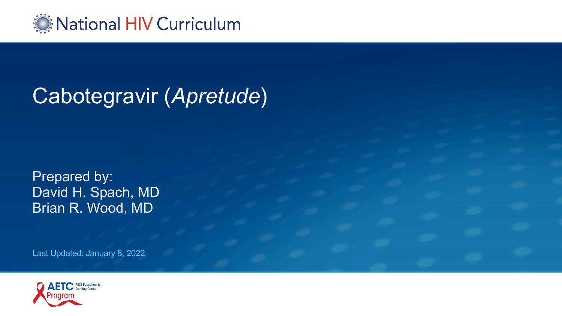

# Cabotegravir (*Apretude*)

Prepared by: David H. Spach, MD Brian R. Wood, MD

Last Updated: January 8, 2022

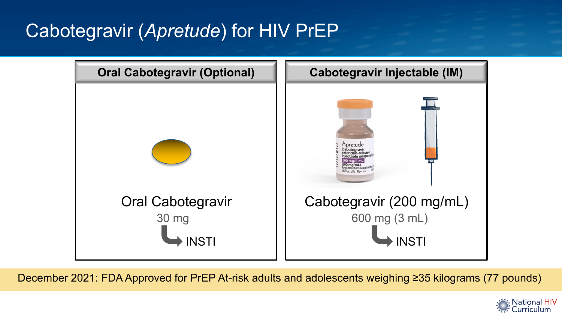# Cabotegravir (*Apretude*) for HIV PrEP



December 2021: FDA Approved for PrEP At-risk adults and adolescents weighing ≥35 kilograms (77 pounds)

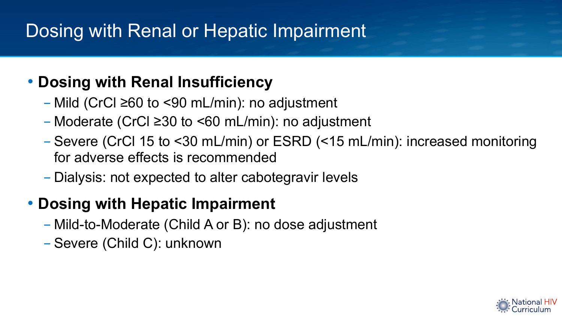# Dosing with Renal or Hepatic Impairment

## • **Dosing with Renal Insufficiency**

- Mild (CrCl ≥60 to <90 mL/min): no adjustment
- Moderate (CrCl ≥30 to <60 mL/min): no adjustment
- Severe (CrCl 15 to <30 mL/min) or ESRD (<15 mL/min): increased monitoring for adverse effects is recommended
- Dialysis: not expected to alter cabotegravir levels

## • **Dosing with Hepatic Impairment**

- Mild-to-Moderate (Child A or B): no dose adjustment
- Severe (Child C): unknown

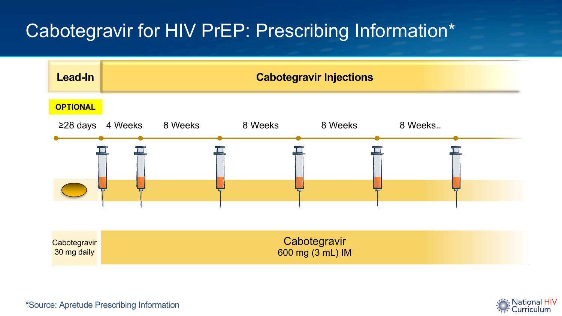# Cabotegravir for HIV PrEP: Prescribing Information\*



\*Source: Apretude Prescribing Information

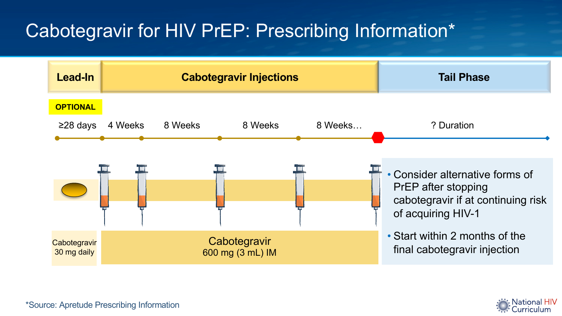# Cabotegravir for HIV PrEP: Prescribing Information\*





\*Source: Apretude Prescribing Information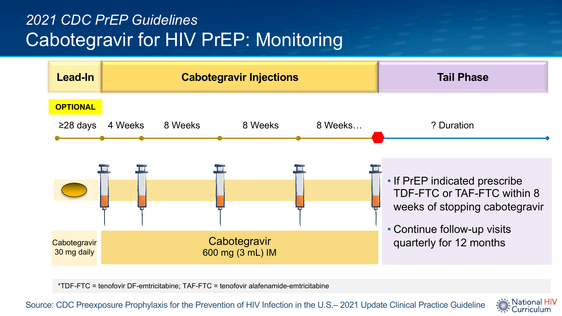## *2021 CDC PrEP Guidelines* Cabotegravir for HIV PrEP: Monitoring



\*TDF-FTC = tenofovir DF-emtricitabine; TAF-FTC = tenofovir alafenamide-emtricitabine

#### Source: CDC Preexposure Prophylaxis for the Prevention of HIV Infection in the U.S.– 2021 Update Clinical Practice Guideline

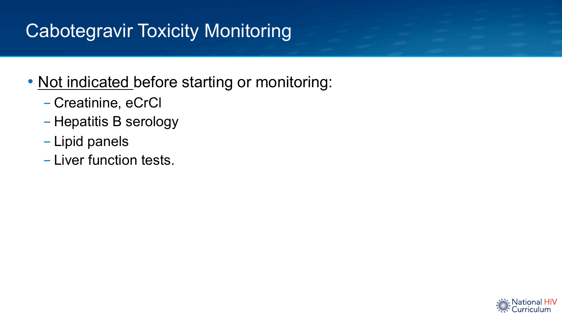# Cabotegravir Toxicity Monitoring

- Not indicated before starting or monitoring:
	- Creatinine, eCrCl
	- Hepatitis B serology
	- Lipid panels
	- Liver function tests.

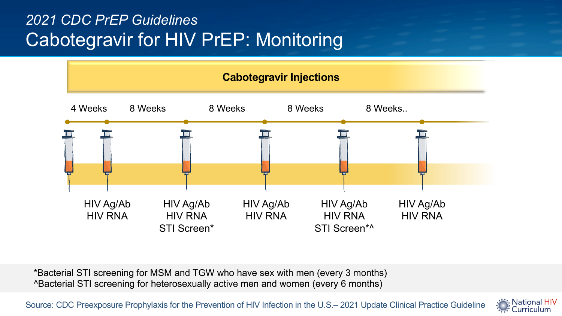## *2021 CDC PrEP Guidelines* Cabotegravir for HIV PrEP: Monitoring



\*Bacterial STI screening for MSM and TGW who have sex with men (every 3 months) ^Bacterial STI screening for heterosexually active men and women (every 6 months)

Source: CDC Preexposure Prophylaxis for the Prevention of HIV Infection in the U.S.– 2021 Update Clinical Practice Guideline

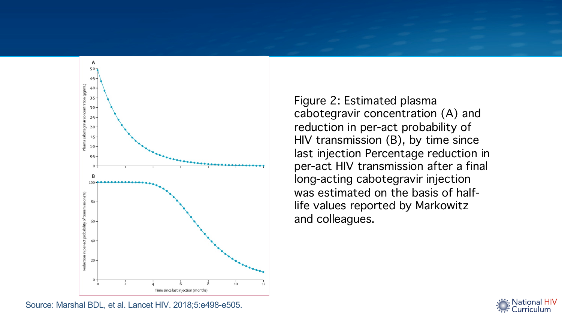

Figure 2: Estimated plasma cabotegravir concentration (A) and reduction in per-act probability of HIV transmission (B), by time since last injection Percentage reduction in per-act HIV transmission after a final long-acting cabotegravir injection was estimated on the basis of halflife values reported by Markowitz and colleagues.



Source: Marshal BDL, et al. Lancet HIV. 2018;5:e498-e505.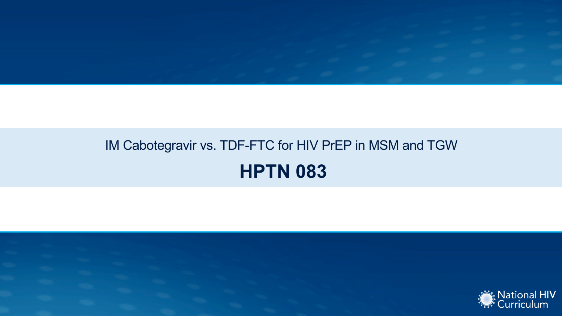

# IM Cabotegravir vs. TDF-FTC for HIV PrEP in MSM and TGW **HPTN 083**

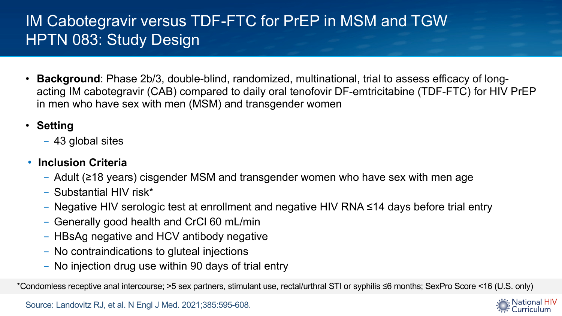## IM Cabotegravir versus TDF-FTC for PrEP in MSM and TGW HPTN 083: Study Design

- **Background**: Phase 2b/3, double-blind, randomized, multinational, trial to assess efficacy of longacting IM cabotegravir (CAB) compared to daily oral tenofovir DF-emtricitabine (TDF-FTC) for HIV PrEP in men who have sex with men (MSM) and transgender women
- **Setting**
	- 43 global sites
- **Inclusion Criteria**
	- Adult (≥18 years) cisgender MSM and transgender women who have sex with men age
	- Substantial HIV risk\*
	- Negative HIV serologic test at enrollment and negative HIV RNA ≤14 days before trial entry
	- Generally good health and CrCl 60 mL/min
	- HBsAg negative and HCV antibody negative
	- No contraindications to gluteal injections
	- No injection drug use within 90 days of trial entry

\*Condomless receptive anal intercourse; >5 sex partners, stimulant use, rectal/urthral STI or syphilis ≤6 months; SexPro Score <16 (U.S. only)

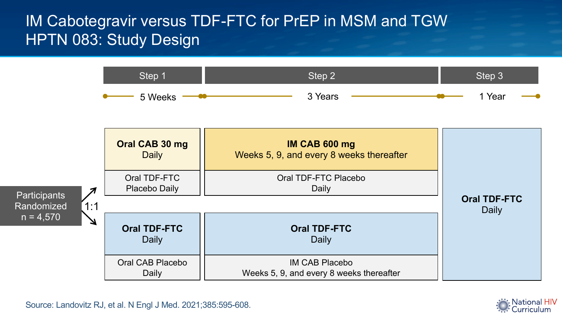## IM Cabotegravir versus TDF-FTC for PrEP in MSM and TGW HPTN 083: Study Design



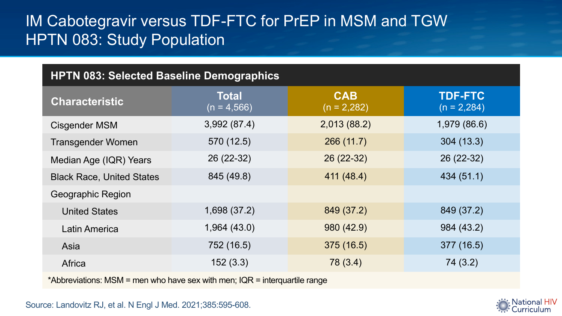## IM Cabotegravir versus TDF-FTC for PrEP in MSM and TGW HPTN 083: Study Population

| <b>HPTN 083: Selected Baseline Demographics</b> |                               |                             |                                  |
|-------------------------------------------------|-------------------------------|-----------------------------|----------------------------------|
| <b>Characteristic</b>                           | <b>Total</b><br>$(n = 4,566)$ | <b>CAB</b><br>$(n = 2,282)$ | <b>TDF-FTC</b><br>$(n = 2, 284)$ |
| Cisgender MSM                                   | 3,992(87.4)                   | 2,013 (88.2)                | 1,979 (86.6)                     |
| <b>Transgender Women</b>                        | 570 (12.5)                    | 266(11.7)                   | 304(13.3)                        |
| Median Age (IQR) Years                          | 26 (22-32)                    | $26(22-32)$                 | 26 (22-32)                       |
| <b>Black Race, United States</b>                | 845 (49.8)                    | 411 (48.4)                  | 434 (51.1)                       |
| Geographic Region                               |                               |                             |                                  |
| <b>United States</b>                            | 1,698 (37.2)                  | 849 (37.2)                  | 849 (37.2)                       |
| Latin America                                   | 1,964(43.0)                   | 980 (42.9)                  | 984 (43.2)                       |
| Asia                                            | 752 (16.5)                    | 375 (16.5)                  | 377 (16.5)                       |
| Africa                                          | 152(3.3)                      | 78 (3.4)                    | 74 (3.2)                         |

\*Abbreviations: MSM = men who have sex with men;  $IQR =$  interquartile range

Source: Landovitz RJ, et al. N Engl J Med. 2021;385:595-608.

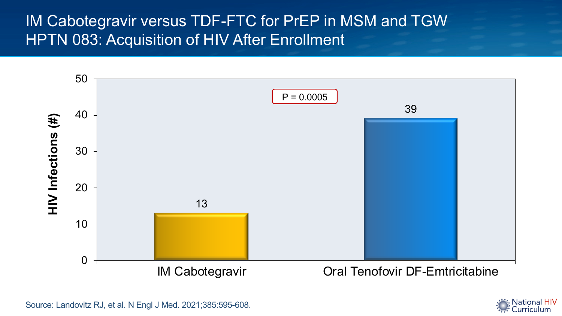## IM Cabotegravir versus TDF-FTC for PrEP in MSM and TGW HPTN 083: Acquisition of HIV After Enrollment



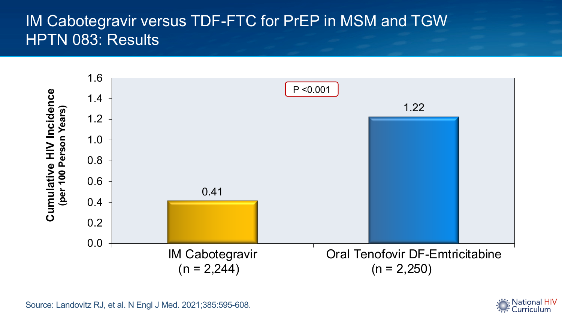## IM Cabotegravir versus TDF-FTC for PrEP in MSM and TGW HPTN 083: Results



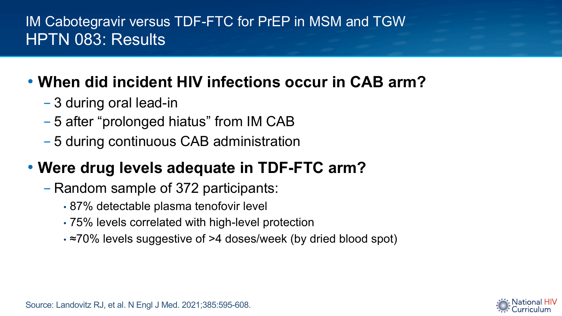### IM Cabotegravir versus TDF-FTC for PrEP in MSM and TGW HPTN 083: Results

## • **When did incident HIV infections occur in CAB arm?**

- 3 during oral lead-in
- 5 after "prolonged hiatus" from IM CAB
- 5 during continuous CAB administration

## • **Were drug levels adequate in TDF-FTC arm?**

- Random sample of 372 participants:
	- 87% detectable plasma tenofovir level
	- 75% levels correlated with high-level protection
	- ≈70% levels suggestive of >4 doses/week (by dried blood spot)

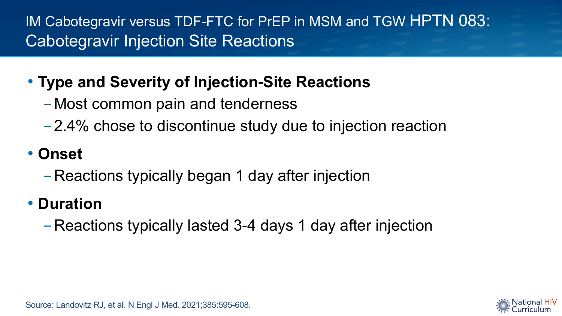IM Cabotegravir versus TDF-FTC for PrEP in MSM and TGW HPTN 083: Cabotegravir Injection Site Reactions

## • **Type and Severity of Injection-Site Reactions**

- -Most common pain and tenderness
- -2.4% chose to discontinue study due to injection reaction

## • **Onset**

-Reactions typically began 1 day after injection

## • **Duration**

-Reactions typically lasted 3-4 days 1 day after injection



Source: Landovitz RJ, et al. N Engl J Med. 2021;385:595-608.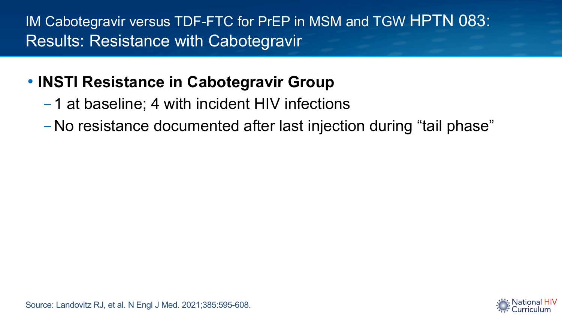IM Cabotegravir versus TDF-FTC for PrEP in MSM and TGW HPTN 083: Results: Resistance with Cabotegravir

## • **INSTI Resistance in Cabotegravir Group**

- -1 at baseline; 4 with incident HIV infections
- -No resistance documented after last injection during "tail phase"

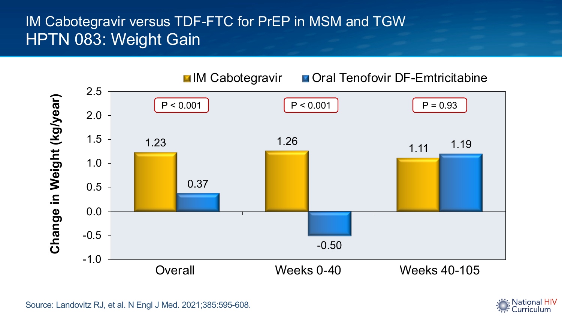## IM Cabotegravir versus TDF-FTC for PrEP in MSM and TGW HPTN 083: Weight Gain



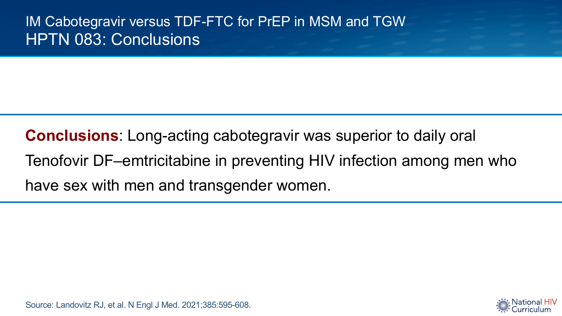IM Cabotegravir versus TDF-FTC for PrEP in MSM and TGW HPTN 083: Conclusions

**Conclusions**: Long-acting cabotegravir was superior to daily oral Tenofovir DF–emtricitabine in preventing HIV infection among men who have sex with men and transgender women.

Source: Landovitz RJ, et al. N Engl J Med. 2021;385:595-608.

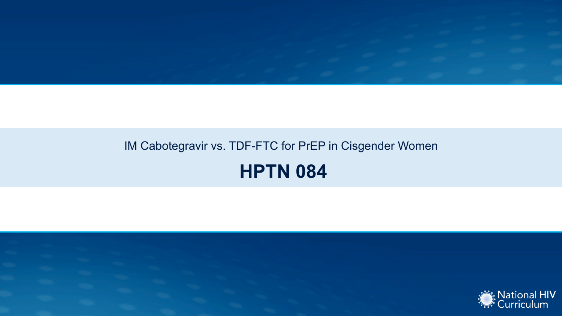

# IM Cabotegravir vs. TDF-FTC for PrEP in Cisgender Women **HPTN 084**

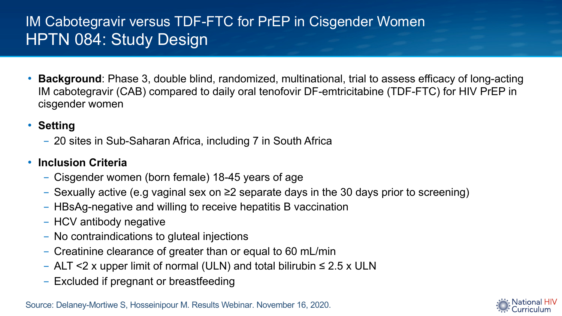## IM Cabotegravir versus TDF-FTC for PrEP in Cisgender Women HPTN 084: Study Design

• **Background**: Phase 3, double blind, randomized, multinational, trial to assess efficacy of long-acting IM cabotegravir (CAB) compared to daily oral tenofovir DF-emtricitabine (TDF-FTC) for HIV PrEP in cisgender women

#### • **Setting**

- 20 sites in Sub-Saharan Africa, including 7 in South Africa

#### • **Inclusion Criteria**

- Cisgender women (born female) 18-45 years of age
- Sexually active (e.g vaginal sex on ≥2 separate days in the 30 days prior to screening)
- HBsAg-negative and willing to receive hepatitis B vaccination
- HCV antibody negative
- No contraindications to gluteal injections
- Creatinine clearance of greater than or equal to 60 mL/min
- ALT <2 x upper limit of normal (ULN) and total bilirubin  $\leq 2.5$  x ULN
- Excluded if pregnant or breastfeeding

Source: Delaney-Mortiwe S, Hosseinipour M. Results Webinar. November 16, 2020.

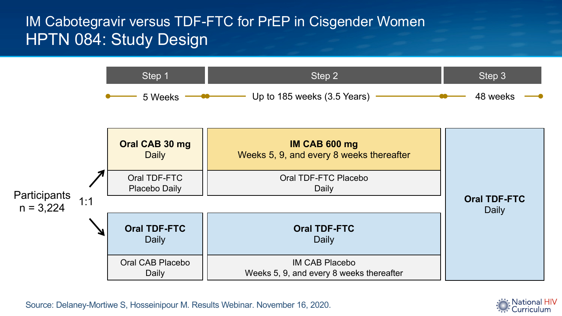#### IM Cabotegravir versus TDF-FTC for PrEP in Cisgender Women HPTN 084: Study Design



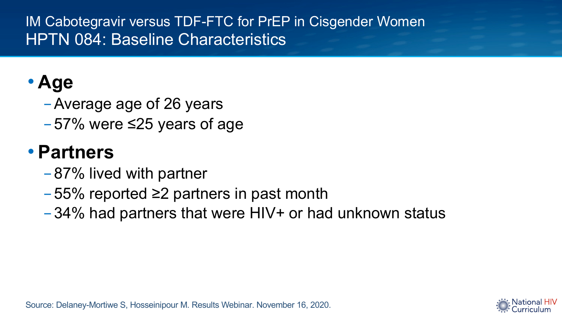#### IM Cabotegravir versus TDF-FTC for PrEP in Cisgender Women HPTN 084: Baseline Characteristics

# • **Age**

- -Average age of 26 years
- -57% were ≤25 years of age

# • **Partners**

- -87% lived with partner
- -55% reported ≥2 partners in past month
- $-34\%$  had partners that were HIV+ or had unknown status



Source: Delaney-Mortiwe S, Hosseinipour M. Results Webinar. November 16, 2020.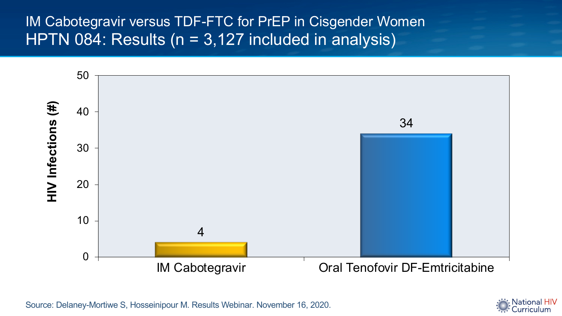#### IM Cabotegravir versus TDF-FTC for PrEP in Cisgender Women HPTN 084: Results ( $n = 3,127$  included in analysis)



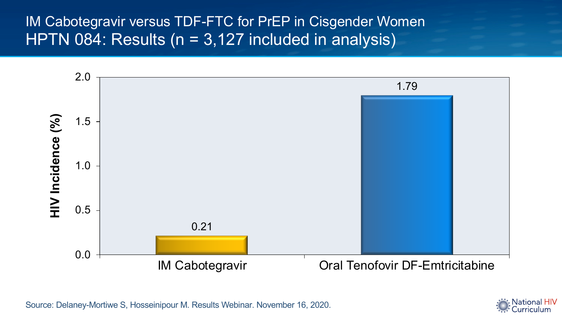#### IM Cabotegravir versus TDF-FTC for PrEP in Cisgender Women HPTN 084: Results ( $n = 3,127$  included in analysis)



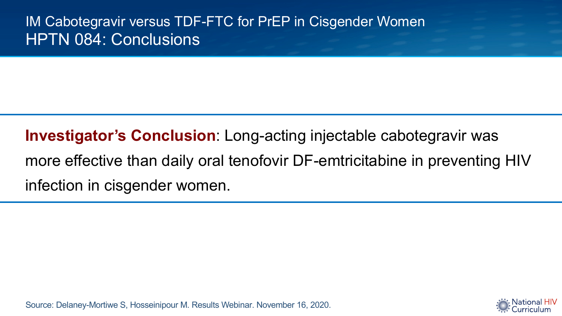IM Cabotegravir versus TDF-FTC for PrEP in Cisgender Women HPTN 084: Conclusions

**Investigator's Conclusion**: Long-acting injectable cabotegravir was more effective than daily oral tenofovir DF-emtricitabine in preventing HIV infection in cisgender women.

Source: Delaney-Mortiwe S, Hosseinipour M. Results Webinar. November 16, 2020.